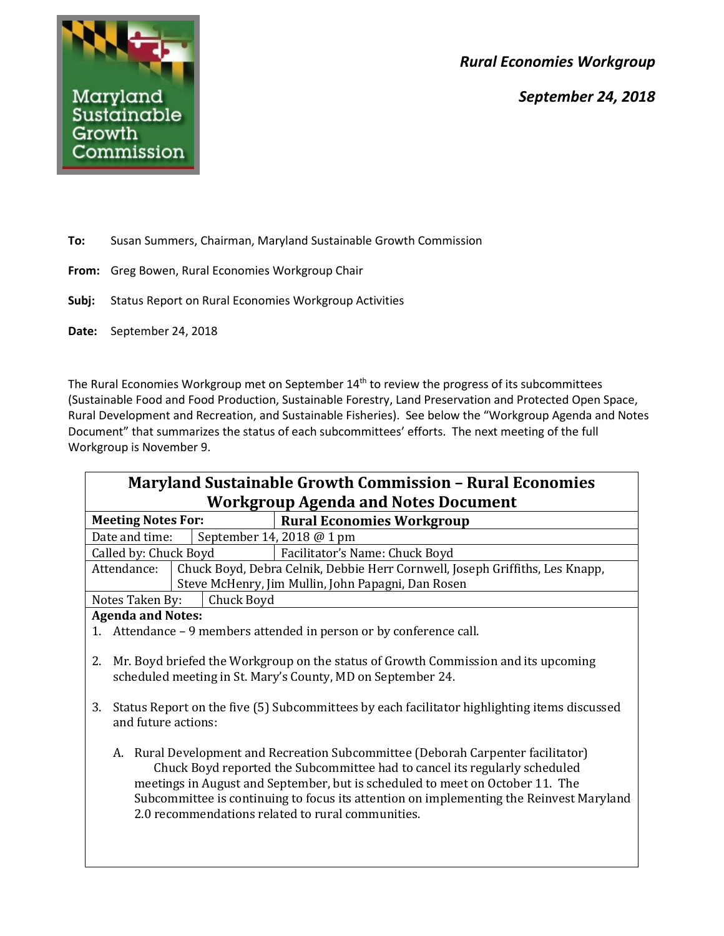*Rural Economies Workgroup*

*September 24, 2018*



**To:** Susan Summers, Chairman, Maryland Sustainable Growth Commission

- **From:** Greg Bowen, Rural Economies Workgroup Chair
- **Subj:** Status Report on Rural Economies Workgroup Activities
- **Date:** September 24, 2018

The Rural Economies Workgroup met on September 14<sup>th</sup> to review the progress of its subcommittees (Sustainable Food and Food Production, Sustainable Forestry, Land Preservation and Protected Open Space, Rural Development and Recreation, and Sustainable Fisheries). See below the "Workgroup Agenda and Notes Document" that summarizes the status of each subcommittees' efforts. The next meeting of the full Workgroup is November 9.

| <b>Maryland Sustainable Growth Commission - Rural Economies</b><br><b>Workgroup Agenda and Notes Document</b>                                                                                                                                                                                                                                                                                      |                                                                              |  |
|----------------------------------------------------------------------------------------------------------------------------------------------------------------------------------------------------------------------------------------------------------------------------------------------------------------------------------------------------------------------------------------------------|------------------------------------------------------------------------------|--|
| <b>Meeting Notes For:</b>                                                                                                                                                                                                                                                                                                                                                                          | <b>Rural Economies Workgroup</b>                                             |  |
| Date and time:                                                                                                                                                                                                                                                                                                                                                                                     | September 14, 2018 @ 1 pm                                                    |  |
| Called by: Chuck Boyd                                                                                                                                                                                                                                                                                                                                                                              | Facilitator's Name: Chuck Boyd                                               |  |
| Attendance:                                                                                                                                                                                                                                                                                                                                                                                        | Chuck Boyd, Debra Celnik, Debbie Herr Cornwell, Joseph Griffiths, Les Knapp, |  |
|                                                                                                                                                                                                                                                                                                                                                                                                    | Steve McHenry, Jim Mullin, John Papagni, Dan Rosen                           |  |
| Notes Taken By:<br>Chuck Boyd                                                                                                                                                                                                                                                                                                                                                                      |                                                                              |  |
| <b>Agenda and Notes:</b>                                                                                                                                                                                                                                                                                                                                                                           |                                                                              |  |
|                                                                                                                                                                                                                                                                                                                                                                                                    | 1. Attendance – 9 members attended in person or by conference call.          |  |
| Mr. Boyd briefed the Workgroup on the status of Growth Commission and its upcoming<br>2.<br>scheduled meeting in St. Mary's County, MD on September 24.                                                                                                                                                                                                                                            |                                                                              |  |
| 3. Status Report on the five (5) Subcommittees by each facilitator highlighting items discussed<br>and future actions:                                                                                                                                                                                                                                                                             |                                                                              |  |
| Rural Development and Recreation Subcommittee (Deborah Carpenter facilitator)<br>А.<br>Chuck Boyd reported the Subcommittee had to cancel its regularly scheduled<br>meetings in August and September, but is scheduled to meet on October 11. The<br>Subcommittee is continuing to focus its attention on implementing the Reinvest Maryland<br>2.0 recommendations related to rural communities. |                                                                              |  |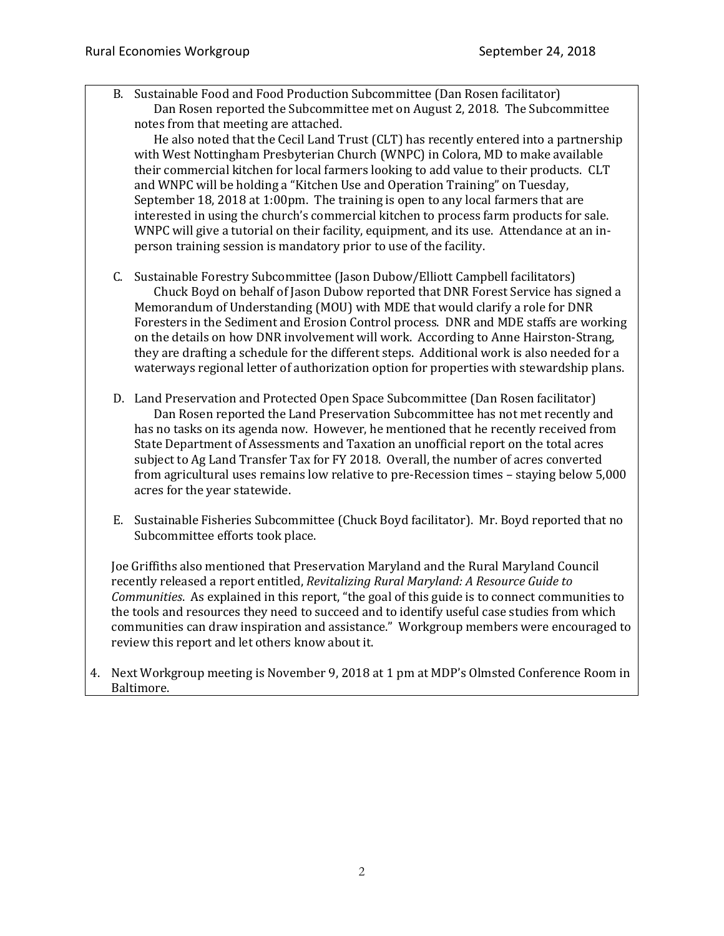B. Sustainable Food and Food Production Subcommittee (Dan Rosen facilitator) Dan Rosen reported the Subcommittee met on August 2, 2018. The Subcommittee notes from that meeting are attached.

He also noted that the Cecil Land Trust (CLT) has recently entered into a partnership with West Nottingham Presbyterian Church (WNPC) in Colora, MD to make available their commercial kitchen for local farmers looking to add value to their products. CLT and WNPC will be holding a "Kitchen Use and Operation Training" on Tuesday, September 18, 2018 at 1:00pm. The training is open to any local farmers that are interested in using the church's commercial kitchen to process farm products for sale. WNPC will give a tutorial on their facility, equipment, and its use. Attendance at an inperson training session is mandatory prior to use of the facility.

- C. Sustainable Forestry Subcommittee (Jason Dubow/Elliott Campbell facilitators) Chuck Boyd on behalf of Jason Dubow reported that DNR Forest Service has signed a Memorandum of Understanding (MOU) with MDE that would clarify a role for DNR Foresters in the Sediment and Erosion Control process. DNR and MDE staffs are working on the details on how DNR involvement will work. According to Anne Hairston-Strang, they are drafting a schedule for the different steps. Additional work is also needed for a waterways regional letter of authorization option for properties with stewardship plans.
- D. Land Preservation and Protected Open Space Subcommittee (Dan Rosen facilitator) Dan Rosen reported the Land Preservation Subcommittee has not met recently and has no tasks on its agenda now. However, he mentioned that he recently received from State Department of Assessments and Taxation an unofficial report on the total acres subject to Ag Land Transfer Tax for FY 2018. Overall, the number of acres converted from agricultural uses remains low relative to pre-Recession times – staying below 5,000 acres for the year statewide.
- E. Sustainable Fisheries Subcommittee (Chuck Boyd facilitator). Mr. Boyd reported that no Subcommittee efforts took place.

Joe Griffiths also mentioned that Preservation Maryland and the Rural Maryland Council recently released a report entitled, *Revitalizing Rural Maryland: A Resource Guide to Communities*. As explained in this report, "the goal of this guide is to connect communities to the tools and resources they need to succeed and to identify useful case studies from which communities can draw inspiration and assistance." Workgroup members were encouraged to review this report and let others know about it.

4. Next Workgroup meeting is November 9, 2018 at 1 pm at MDP's Olmsted Conference Room in Baltimore.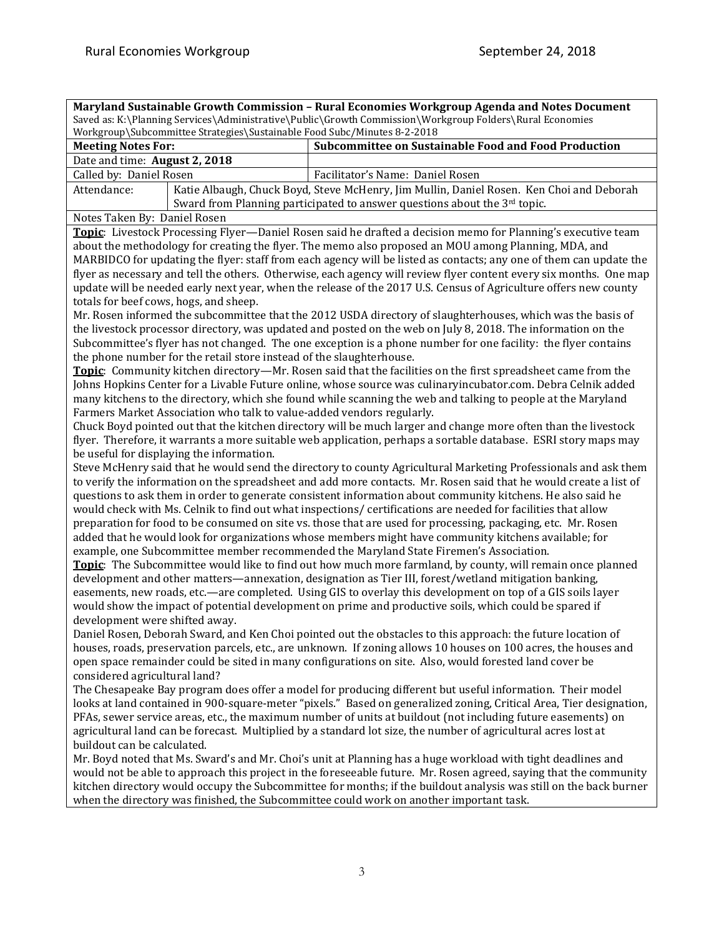٦

**Maryland Sustainable Growth Commission – Rural Economies Workgroup Agenda and Notes Document** Saved as: K:\Planning Services\Administrative\Public\Growth Commission\Workgroup Folders\Rural Economies

| Saved as: K:\Planning Services\Administrative\Public\Growth Commission\Workgroup Folders\Rural Economies<br>Workgroup\Subcommittee Strategies\Sustainable Food Subc/Minutes 8-2-2018                                                                                                                                                    |                                                                                                                                                                                                                                                                                                                                                                                                                                                                                                                                                                                                                                                                                                                                                                                                                                                                                                                                                                                                                                                                                                                                                                                                                                                                                                                                                                                                                                                                                                                                                                                                                                                                                                                                                                                                                                                                                                                                                                                                                                                                                                                                                                                                                                                                                                                                                                                                                                                                                                                                                                                                                                                                                                                                                                                                                                                                                                                                                                                                                                                                                                                                                                                                                                                                                                                                                                                                                                     |  |
|-----------------------------------------------------------------------------------------------------------------------------------------------------------------------------------------------------------------------------------------------------------------------------------------------------------------------------------------|-------------------------------------------------------------------------------------------------------------------------------------------------------------------------------------------------------------------------------------------------------------------------------------------------------------------------------------------------------------------------------------------------------------------------------------------------------------------------------------------------------------------------------------------------------------------------------------------------------------------------------------------------------------------------------------------------------------------------------------------------------------------------------------------------------------------------------------------------------------------------------------------------------------------------------------------------------------------------------------------------------------------------------------------------------------------------------------------------------------------------------------------------------------------------------------------------------------------------------------------------------------------------------------------------------------------------------------------------------------------------------------------------------------------------------------------------------------------------------------------------------------------------------------------------------------------------------------------------------------------------------------------------------------------------------------------------------------------------------------------------------------------------------------------------------------------------------------------------------------------------------------------------------------------------------------------------------------------------------------------------------------------------------------------------------------------------------------------------------------------------------------------------------------------------------------------------------------------------------------------------------------------------------------------------------------------------------------------------------------------------------------------------------------------------------------------------------------------------------------------------------------------------------------------------------------------------------------------------------------------------------------------------------------------------------------------------------------------------------------------------------------------------------------------------------------------------------------------------------------------------------------------------------------------------------------------------------------------------------------------------------------------------------------------------------------------------------------------------------------------------------------------------------------------------------------------------------------------------------------------------------------------------------------------------------------------------------------------------------------------------------------------------------------------------------------|--|
| <b>Meeting Notes For:</b>                                                                                                                                                                                                                                                                                                               | Subcommittee on Sustainable Food and Food Production                                                                                                                                                                                                                                                                                                                                                                                                                                                                                                                                                                                                                                                                                                                                                                                                                                                                                                                                                                                                                                                                                                                                                                                                                                                                                                                                                                                                                                                                                                                                                                                                                                                                                                                                                                                                                                                                                                                                                                                                                                                                                                                                                                                                                                                                                                                                                                                                                                                                                                                                                                                                                                                                                                                                                                                                                                                                                                                                                                                                                                                                                                                                                                                                                                                                                                                                                                                |  |
| Date and time: August 2, 2018                                                                                                                                                                                                                                                                                                           |                                                                                                                                                                                                                                                                                                                                                                                                                                                                                                                                                                                                                                                                                                                                                                                                                                                                                                                                                                                                                                                                                                                                                                                                                                                                                                                                                                                                                                                                                                                                                                                                                                                                                                                                                                                                                                                                                                                                                                                                                                                                                                                                                                                                                                                                                                                                                                                                                                                                                                                                                                                                                                                                                                                                                                                                                                                                                                                                                                                                                                                                                                                                                                                                                                                                                                                                                                                                                                     |  |
| Called by: Daniel Rosen                                                                                                                                                                                                                                                                                                                 | Facilitator's Name: Daniel Rosen                                                                                                                                                                                                                                                                                                                                                                                                                                                                                                                                                                                                                                                                                                                                                                                                                                                                                                                                                                                                                                                                                                                                                                                                                                                                                                                                                                                                                                                                                                                                                                                                                                                                                                                                                                                                                                                                                                                                                                                                                                                                                                                                                                                                                                                                                                                                                                                                                                                                                                                                                                                                                                                                                                                                                                                                                                                                                                                                                                                                                                                                                                                                                                                                                                                                                                                                                                                                    |  |
| Attendance:                                                                                                                                                                                                                                                                                                                             | Katie Albaugh, Chuck Boyd, Steve McHenry, Jim Mullin, Daniel Rosen. Ken Choi and Deborah                                                                                                                                                                                                                                                                                                                                                                                                                                                                                                                                                                                                                                                                                                                                                                                                                                                                                                                                                                                                                                                                                                                                                                                                                                                                                                                                                                                                                                                                                                                                                                                                                                                                                                                                                                                                                                                                                                                                                                                                                                                                                                                                                                                                                                                                                                                                                                                                                                                                                                                                                                                                                                                                                                                                                                                                                                                                                                                                                                                                                                                                                                                                                                                                                                                                                                                                            |  |
|                                                                                                                                                                                                                                                                                                                                         |                                                                                                                                                                                                                                                                                                                                                                                                                                                                                                                                                                                                                                                                                                                                                                                                                                                                                                                                                                                                                                                                                                                                                                                                                                                                                                                                                                                                                                                                                                                                                                                                                                                                                                                                                                                                                                                                                                                                                                                                                                                                                                                                                                                                                                                                                                                                                                                                                                                                                                                                                                                                                                                                                                                                                                                                                                                                                                                                                                                                                                                                                                                                                                                                                                                                                                                                                                                                                                     |  |
|                                                                                                                                                                                                                                                                                                                                         |                                                                                                                                                                                                                                                                                                                                                                                                                                                                                                                                                                                                                                                                                                                                                                                                                                                                                                                                                                                                                                                                                                                                                                                                                                                                                                                                                                                                                                                                                                                                                                                                                                                                                                                                                                                                                                                                                                                                                                                                                                                                                                                                                                                                                                                                                                                                                                                                                                                                                                                                                                                                                                                                                                                                                                                                                                                                                                                                                                                                                                                                                                                                                                                                                                                                                                                                                                                                                                     |  |
| Notes Taken By: Daniel Rosen<br>totals for beef cows, hogs, and sheep.<br>the phone number for the retail store instead of the slaughterhouse.<br>Farmers Market Association who talk to value-added vendors regularly.<br>be useful for displaying the information.<br>development were shifted away.<br>considered agricultural land? | Sward from Planning participated to answer questions about the 3rd topic.<br>Topic: Livestock Processing Flyer-Daniel Rosen said he drafted a decision memo for Planning's executive team<br>about the methodology for creating the flyer. The memo also proposed an MOU among Planning, MDA, and<br>MARBIDCO for updating the flyer: staff from each agency will be listed as contacts; any one of them can update the<br>flyer as necessary and tell the others. Otherwise, each agency will review flyer content every six months. One map<br>update will be needed early next year, when the release of the 2017 U.S. Census of Agriculture offers new county<br>Mr. Rosen informed the subcommittee that the 2012 USDA directory of slaughterhouses, which was the basis of<br>the livestock processor directory, was updated and posted on the web on July 8, 2018. The information on the<br>Subcommittee's flyer has not changed. The one exception is a phone number for one facility: the flyer contains<br>Topic: Community kitchen directory—Mr. Rosen said that the facilities on the first spreadsheet came from the<br>Johns Hopkins Center for a Livable Future online, whose source was culinaryincubator.com. Debra Celnik added<br>many kitchens to the directory, which she found while scanning the web and talking to people at the Maryland<br>Chuck Boyd pointed out that the kitchen directory will be much larger and change more often than the livestock<br>flyer. Therefore, it warrants a more suitable web application, perhaps a sortable database. ESRI story maps may<br>Steve McHenry said that he would send the directory to county Agricultural Marketing Professionals and ask them<br>to verify the information on the spreadsheet and add more contacts. Mr. Rosen said that he would create a list of<br>questions to ask them in order to generate consistent information about community kitchens. He also said he<br>would check with Ms. Celnik to find out what inspections/certifications are needed for facilities that allow<br>preparation for food to be consumed on site vs. those that are used for processing, packaging, etc. Mr. Rosen<br>added that he would look for organizations whose members might have community kitchens available; for<br>example, one Subcommittee member recommended the Maryland State Firemen's Association.<br>Topic: The Subcommittee would like to find out how much more farmland, by county, will remain once planned<br>development and other matters—annexation, designation as Tier III, forest/wetland mitigation banking,<br>easements, new roads, etc.—are completed. Using GIS to overlay this development on top of a GIS soils layer<br>would show the impact of potential development on prime and productive soils, which could be spared if<br>Daniel Rosen, Deborah Sward, and Ken Choi pointed out the obstacles to this approach: the future location of<br>houses, roads, preservation parcels, etc., are unknown. If zoning allows 10 houses on 100 acres, the houses and<br>open space remainder could be sited in many configurations on site. Also, would forested land cover be<br>The Chesapeake Bay program does offer a model for producing different but useful information. Their model<br>looks at land contained in 900-square-meter "pixels." Based on generalized zoning, Critical Area, Tier designation, |  |
| PFAs, sewer service areas, etc., the maximum number of units at buildout (not including future easements) on                                                                                                                                                                                                                            |                                                                                                                                                                                                                                                                                                                                                                                                                                                                                                                                                                                                                                                                                                                                                                                                                                                                                                                                                                                                                                                                                                                                                                                                                                                                                                                                                                                                                                                                                                                                                                                                                                                                                                                                                                                                                                                                                                                                                                                                                                                                                                                                                                                                                                                                                                                                                                                                                                                                                                                                                                                                                                                                                                                                                                                                                                                                                                                                                                                                                                                                                                                                                                                                                                                                                                                                                                                                                                     |  |
| agricultural land can be forecast. Multiplied by a standard lot size, the number of agricultural acres lost at                                                                                                                                                                                                                          |                                                                                                                                                                                                                                                                                                                                                                                                                                                                                                                                                                                                                                                                                                                                                                                                                                                                                                                                                                                                                                                                                                                                                                                                                                                                                                                                                                                                                                                                                                                                                                                                                                                                                                                                                                                                                                                                                                                                                                                                                                                                                                                                                                                                                                                                                                                                                                                                                                                                                                                                                                                                                                                                                                                                                                                                                                                                                                                                                                                                                                                                                                                                                                                                                                                                                                                                                                                                                                     |  |
| buildout can be calculated.                                                                                                                                                                                                                                                                                                             |                                                                                                                                                                                                                                                                                                                                                                                                                                                                                                                                                                                                                                                                                                                                                                                                                                                                                                                                                                                                                                                                                                                                                                                                                                                                                                                                                                                                                                                                                                                                                                                                                                                                                                                                                                                                                                                                                                                                                                                                                                                                                                                                                                                                                                                                                                                                                                                                                                                                                                                                                                                                                                                                                                                                                                                                                                                                                                                                                                                                                                                                                                                                                                                                                                                                                                                                                                                                                                     |  |
|                                                                                                                                                                                                                                                                                                                                         | Mr. Boyd noted that Ms. Sward's and Mr. Choi's unit at Planning has a huge workload with tight deadlines and                                                                                                                                                                                                                                                                                                                                                                                                                                                                                                                                                                                                                                                                                                                                                                                                                                                                                                                                                                                                                                                                                                                                                                                                                                                                                                                                                                                                                                                                                                                                                                                                                                                                                                                                                                                                                                                                                                                                                                                                                                                                                                                                                                                                                                                                                                                                                                                                                                                                                                                                                                                                                                                                                                                                                                                                                                                                                                                                                                                                                                                                                                                                                                                                                                                                                                                        |  |
| would not be able to approach this project in the foreseeable future. Mr. Rosen agreed, saying that the community                                                                                                                                                                                                                       |                                                                                                                                                                                                                                                                                                                                                                                                                                                                                                                                                                                                                                                                                                                                                                                                                                                                                                                                                                                                                                                                                                                                                                                                                                                                                                                                                                                                                                                                                                                                                                                                                                                                                                                                                                                                                                                                                                                                                                                                                                                                                                                                                                                                                                                                                                                                                                                                                                                                                                                                                                                                                                                                                                                                                                                                                                                                                                                                                                                                                                                                                                                                                                                                                                                                                                                                                                                                                                     |  |
| kitchen directory would occupy the Subcommittee for months; if the buildout analysis was still on the back burner                                                                                                                                                                                                                       |                                                                                                                                                                                                                                                                                                                                                                                                                                                                                                                                                                                                                                                                                                                                                                                                                                                                                                                                                                                                                                                                                                                                                                                                                                                                                                                                                                                                                                                                                                                                                                                                                                                                                                                                                                                                                                                                                                                                                                                                                                                                                                                                                                                                                                                                                                                                                                                                                                                                                                                                                                                                                                                                                                                                                                                                                                                                                                                                                                                                                                                                                                                                                                                                                                                                                                                                                                                                                                     |  |
| when the directory was finished, the Subcommittee could work on another important task.                                                                                                                                                                                                                                                 |                                                                                                                                                                                                                                                                                                                                                                                                                                                                                                                                                                                                                                                                                                                                                                                                                                                                                                                                                                                                                                                                                                                                                                                                                                                                                                                                                                                                                                                                                                                                                                                                                                                                                                                                                                                                                                                                                                                                                                                                                                                                                                                                                                                                                                                                                                                                                                                                                                                                                                                                                                                                                                                                                                                                                                                                                                                                                                                                                                                                                                                                                                                                                                                                                                                                                                                                                                                                                                     |  |